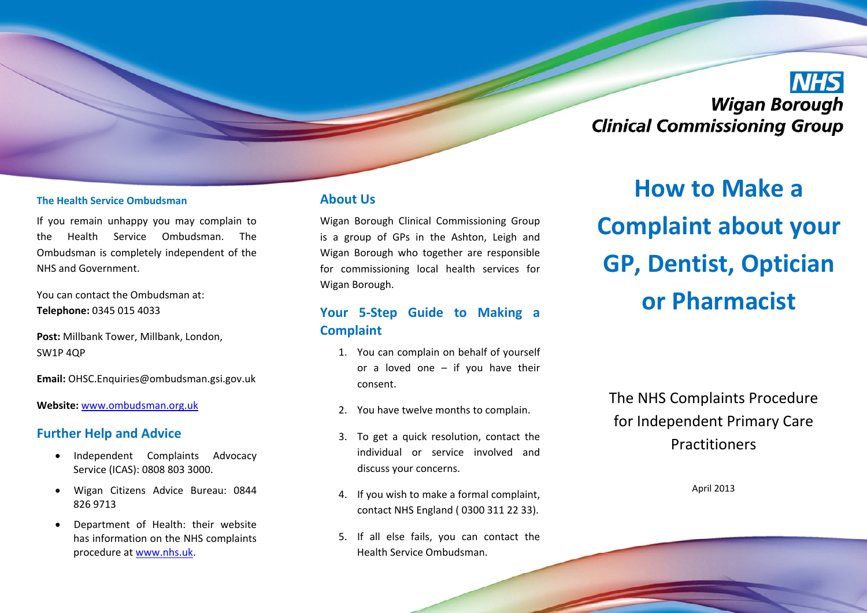# **NHS Wigan Borough Clinical Commissioning Group**

#### **The Health Service Ombudsman**

If you remain unhappy you may complain to the Health Service Ombudsman. The Ombudsman is completely independent of the NHS and Government.

You can contact the Ombudsman at: **Telephone:** 0345 015 4033

**Post:** Millbank Tower, Millbank, London, SW1P 4QP

**Email:** OHSC.Enquiries@ombudsman.gsi.gov.uk

**Website:** www.ombudsman.org.uk

#### **Further Help and Advice**

- Independent Complaints Advocacy Service (ICAS): 0808 803 3000.
- · Wigan Citizens Advice Bureau: 0844 826 9713
- Department of Health: their website has information on the NHS complaints procedure at www.nhs.uk.

### **About Us**

Wigan Borough Clinical Commissioning Group is a group of GPs in the Ashton, Leigh and Wigan Borough who together are responsible for commissioning local health services for Wigan Borough.

## **Your 5ͲStep Guide to Making a Complaint**

- 1. You can complain on behalf of yourself or a loved one – if you have their consent.
- 2. You have twelve months to complain.
- 3. To get a quick resolution, contact the individual or service involved and discuss your concerns.
- 4. If you wish to make a formal complaint, contact NHS England ( 0300 311 22 33).
- 5. If all else fails, you can contact the Health Service Ombudsman.

**How to Make a Complaint about your GP, Dentist, Optician or Pharmacist**

## The NHS Complaints Procedure for Independent Primary Care Practitioners

April 2013